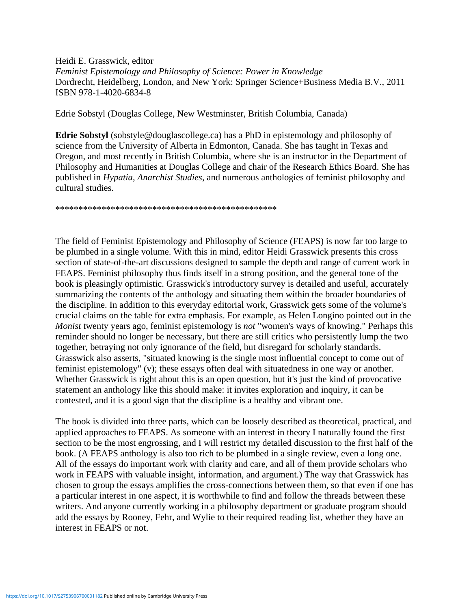Heidi E. Grasswick, editor *Feminist Epistemology and Philosophy of Science: Power in Knowledge* Dordrecht, Heidelberg, London, and New York: Springer Science+Business Media B.V., 2011 ISBN 978-1-4020-6834-8

Edrie Sobstyl (Douglas College, New Westminster, British Columbia, Canada)

**Edrie Sobstyl** (sobstyle@douglascollege.ca) has a PhD in epistemology and philosophy of science from the University of Alberta in Edmonton, Canada. She has taught in Texas and Oregon, and most recently in British Columbia, where she is an instructor in the Department of Philosophy and Humanities at Douglas College and chair of the Research Ethics Board. She has published in *Hypatia*, *Anarchist Studies*, and numerous anthologies of feminist philosophy and cultural studies.

\*\*\*\*\*\*\*\*\*\*\*\*\*\*\*\*\*\*\*\*\*\*\*\*\*\*\*\*\*\*\*\*\*\*\*\*\*\*\*\*\*\*\*\*\*\*\*\*

The field of Feminist Epistemology and Philosophy of Science (FEAPS) is now far too large to be plumbed in a single volume. With this in mind, editor Heidi Grasswick presents this cross section of state-of-the-art discussions designed to sample the depth and range of current work in FEAPS. Feminist philosophy thus finds itself in a strong position, and the general tone of the book is pleasingly optimistic. Grasswick's introductory survey is detailed and useful, accurately summarizing the contents of the anthology and situating them within the broader boundaries of the discipline. In addition to this everyday editorial work, Grasswick gets some of the volume's crucial claims on the table for extra emphasis. For example, as Helen Longino pointed out in the *Monist* twenty years ago, feminist epistemology is *not* "women's ways of knowing." Perhaps this reminder should no longer be necessary, but there are still critics who persistently lump the two together, betraying not only ignorance of the field, but disregard for scholarly standards. Grasswick also asserts, "situated knowing is the single most influential concept to come out of feminist epistemology" (v); these essays often deal with situatedness in one way or another. Whether Grasswick is right about this is an open question, but it's just the kind of provocative statement an anthology like this should make: it invites exploration and inquiry, it can be contested, and it is a good sign that the discipline is a healthy and vibrant one.

The book is divided into three parts, which can be loosely described as theoretical, practical, and applied approaches to FEAPS. As someone with an interest in theory I naturally found the first section to be the most engrossing, and I will restrict my detailed discussion to the first half of the book. (A FEAPS anthology is also too rich to be plumbed in a single review, even a long one. All of the essays do important work with clarity and care, and all of them provide scholars who work in FEAPS with valuable insight, information, and argument.) The way that Grasswick has chosen to group the essays amplifies the cross-connections between them, so that even if one has a particular interest in one aspect, it is worthwhile to find and follow the threads between these writers. And anyone currently working in a philosophy department or graduate program should add the essays by Rooney, Fehr, and Wylie to their required reading list, whether they have an interest in FEAPS or not.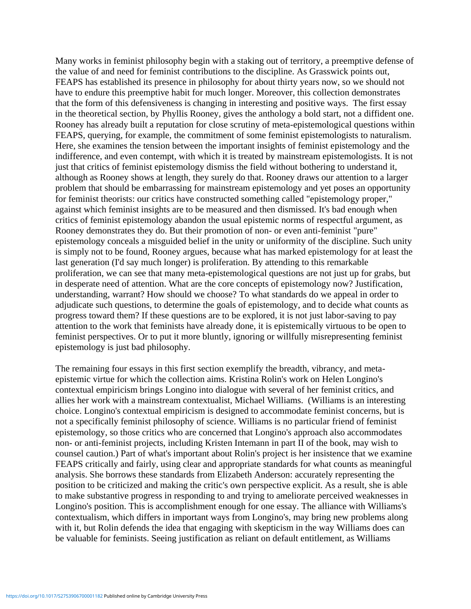Many works in feminist philosophy begin with a staking out of territory, a preemptive defense of the value of and need for feminist contributions to the discipline. As Grasswick points out, FEAPS has established its presence in philosophy for about thirty years now, so we should not have to endure this preemptive habit for much longer. Moreover, this collection demonstrates that the form of this defensiveness is changing in interesting and positive ways. The first essay in the theoretical section, by Phyllis Rooney, gives the anthology a bold start, not a diffident one. Rooney has already built a reputation for close scrutiny of meta-epistemological questions within FEAPS, querying, for example, the commitment of some feminist epistemologists to naturalism. Here, she examines the tension between the important insights of feminist epistemology and the indifference, and even contempt, with which it is treated by mainstream epistemologists. It is not just that critics of feminist epistemology dismiss the field without bothering to understand it, although as Rooney shows at length, they surely do that. Rooney draws our attention to a larger problem that should be embarrassing for mainstream epistemology and yet poses an opportunity for feminist theorists: our critics have constructed something called "epistemology proper," against which feminist insights are to be measured and then dismissed. It's bad enough when critics of feminist epistemology abandon the usual epistemic norms of respectful argument, as Rooney demonstrates they do. But their promotion of non- or even anti-feminist "pure" epistemology conceals a misguided belief in the unity or uniformity of the discipline. Such unity is simply not to be found, Rooney argues, because what has marked epistemology for at least the last generation (I'd say much longer) is proliferation. By attending to this remarkable proliferation, we can see that many meta-epistemological questions are not just up for grabs, but in desperate need of attention. What are the core concepts of epistemology now? Justification, understanding, warrant? How should we choose? To what standards do we appeal in order to adjudicate such questions, to determine the goals of epistemology, and to decide what counts as progress toward them? If these questions are to be explored, it is not just labor-saving to pay attention to the work that feminists have already done, it is epistemically virtuous to be open to feminist perspectives. Or to put it more bluntly, ignoring or willfully misrepresenting feminist epistemology is just bad philosophy.

The remaining four essays in this first section exemplify the breadth, vibrancy, and metaepistemic virtue for which the collection aims. Kristina Rolin's work on Helen Longino's contextual empiricism brings Longino into dialogue with several of her feminist critics, and allies her work with a mainstream contextualist, Michael Williams. (Williams is an interesting choice. Longino's contextual empiricism is designed to accommodate feminist concerns, but is not a specifically feminist philosophy of science. Williams is no particular friend of feminist epistemology, so those critics who are concerned that Longino's approach also accommodates non- or anti-feminist projects, including Kristen Intemann in part II of the book, may wish to counsel caution.) Part of what's important about Rolin's project is her insistence that we examine FEAPS critically and fairly, using clear and appropriate standards for what counts as meaningful analysis. She borrows these standards from Elizabeth Anderson: accurately representing the position to be criticized and making the critic's own perspective explicit. As a result, she is able to make substantive progress in responding to and trying to ameliorate perceived weaknesses in Longino's position. This is accomplishment enough for one essay. The alliance with Williams's contextualism, which differs in important ways from Longino's, may bring new problems along with it, but Rolin defends the idea that engaging with skepticism in the way Williams does can be valuable for feminists. Seeing justification as reliant on default entitlement, as Williams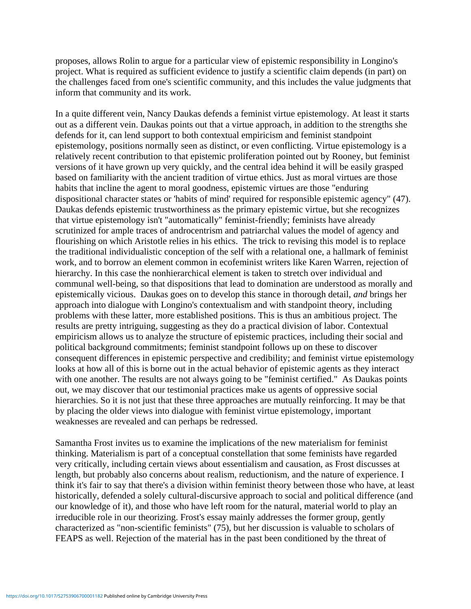proposes, allows Rolin to argue for a particular view of epistemic responsibility in Longino's project. What is required as sufficient evidence to justify a scientific claim depends (in part) on the challenges faced from one's scientific community, and this includes the value judgments that inform that community and its work.

In a quite different vein, Nancy Daukas defends a feminist virtue epistemology. At least it starts out as a different vein. Daukas points out that a virtue approach, in addition to the strengths she defends for it, can lend support to both contextual empiricism and feminist standpoint epistemology, positions normally seen as distinct, or even conflicting. Virtue epistemology is a relatively recent contribution to that epistemic proliferation pointed out by Rooney, but feminist versions of it have grown up very quickly, and the central idea behind it will be easily grasped based on familiarity with the ancient tradition of virtue ethics. Just as moral virtues are those habits that incline the agent to moral goodness, epistemic virtues are those "enduring dispositional character states or 'habits of mind' required for responsible epistemic agency" (47). Daukas defends epistemic trustworthiness as the primary epistemic virtue, but she recognizes that virtue epistemology isn't "automatically" feminist-friendly; feminists have already scrutinized for ample traces of androcentrism and patriarchal values the model of agency and flourishing on which Aristotle relies in his ethics. The trick to revising this model is to replace the traditional individualistic conception of the self with a relational one, a hallmark of feminist work, and to borrow an element common in ecofeminist writers like Karen Warren, rejection of hierarchy. In this case the nonhierarchical element is taken to stretch over individual and communal well-being, so that dispositions that lead to domination are understood as morally and epistemically vicious. Daukas goes on to develop this stance in thorough detail, *and* brings her approach into dialogue with Longino's contextualism and with standpoint theory, including problems with these latter, more established positions. This is thus an ambitious project. The results are pretty intriguing, suggesting as they do a practical division of labor. Contextual empiricism allows us to analyze the structure of epistemic practices, including their social and political background commitments; feminist standpoint follows up on these to discover consequent differences in epistemic perspective and credibility; and feminist virtue epistemology looks at how all of this is borne out in the actual behavior of epistemic agents as they interact with one another. The results are not always going to be "feminist certified." As Daukas points out, we may discover that our testimonial practices make us agents of oppressive social hierarchies. So it is not just that these three approaches are mutually reinforcing. It may be that by placing the older views into dialogue with feminist virtue epistemology, important weaknesses are revealed and can perhaps be redressed.

Samantha Frost invites us to examine the implications of the new materialism for feminist thinking. Materialism is part of a conceptual constellation that some feminists have regarded very critically, including certain views about essentialism and causation, as Frost discusses at length, but probably also concerns about realism, reductionism, and the nature of experience. I think it's fair to say that there's a division within feminist theory between those who have, at least historically, defended a solely cultural-discursive approach to social and political difference (and our knowledge of it), and those who have left room for the natural, material world to play an irreducible role in our theorizing. Frost's essay mainly addresses the former group, gently characterized as "non-scientific feminists" (75), but her discussion is valuable to scholars of FEAPS as well. Rejection of the material has in the past been conditioned by the threat of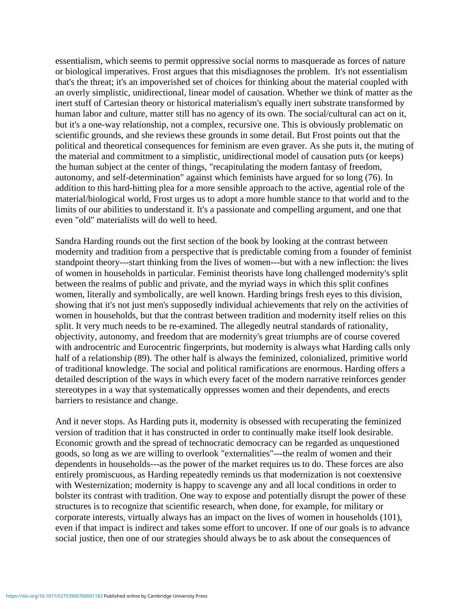essentialism, which seems to permit oppressive social norms to masquerade as forces of nature or biological imperatives. Frost argues that this misdiagnoses the problem. It's not essentialism that's the threat; it's an impoverished set of choices for thinking about the material coupled with an overly simplistic, unidirectional, linear model of causation. Whether we think of matter as the inert stuff of Cartesian theory or historical materialism's equally inert substrate transformed by human labor and culture, matter still has no agency of its own. The social/cultural can act on it, but it's a one-way relationship, not a complex, recursive one. This is obviously problematic on scientific grounds, and she reviews these grounds in some detail. But Frost points out that the political and theoretical consequences for feminism are even graver. As she puts it, the muting of the material and commitment to a simplistic, unidirectional model of causation puts (or keeps) the human subject at the center of things, "recapitulating the modern fantasy of freedom, autonomy, and self-determination" against which feminists have argued for so long (76). In addition to this hard-hitting plea for a more sensible approach to the active, agential role of the material/biological world, Frost urges us to adopt a more humble stance to that world and to the limits of our abilities to understand it. It's a passionate and compelling argument, and one that even "old" materialists will do well to heed.

Sandra Harding rounds out the first section of the book by looking at the contrast between modernity and tradition from a perspective that is predictable coming from a founder of feminist standpoint theory---start thinking from the lives of women---but with a new inflection: the lives of women in households in particular. Feminist theorists have long challenged modernity's split between the realms of public and private, and the myriad ways in which this split confines women, literally and symbolically, are well known. Harding brings fresh eyes to this division, showing that it's not just men's supposedly individual achievements that rely on the activities of women in households, but that the contrast between tradition and modernity itself relies on this split. It very much needs to be re-examined. The allegedly neutral standards of rationality, objectivity, autonomy, and freedom that are modernity's great triumphs are of course covered with androcentric and Eurocentric fingerprints, but modernity is always what Harding calls only half of a relationship (89). The other half is always the feminized, colonialized, primitive world of traditional knowledge. The social and political ramifications are enormous. Harding offers a detailed description of the ways in which every facet of the modern narrative reinforces gender stereotypes in a way that systematically oppresses women and their dependents, and erects barriers to resistance and change.

And it never stops. As Harding puts it, modernity is obsessed with recuperating the feminized version of tradition that it has constructed in order to continually make itself look desirable. Economic growth and the spread of technocratic democracy can be regarded as unquestioned goods, so long as we are willing to overlook "externalities"---the realm of women and their dependents in households---as the power of the market requires us to do. These forces are also entirely promiscuous, as Harding repeatedly reminds us that modernization is not coextensive with Westernization; modernity is happy to scavenge any and all local conditions in order to bolster its contrast with tradition. One way to expose and potentially disrupt the power of these structures is to recognize that scientific research, when done, for example, for military or corporate interests, virtually always has an impact on the lives of women in households (101), even if that impact is indirect and takes some effort to uncover. If one of our goals is to advance social justice, then one of our strategies should always be to ask about the consequences of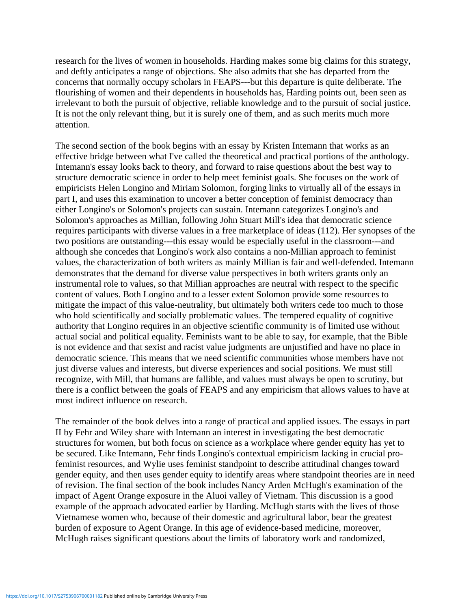research for the lives of women in households. Harding makes some big claims for this strategy, and deftly anticipates a range of objections. She also admits that she has departed from the concerns that normally occupy scholars in FEAPS---but this departure is quite deliberate. The flourishing of women and their dependents in households has, Harding points out, been seen as irrelevant to both the pursuit of objective, reliable knowledge and to the pursuit of social justice. It is not the only relevant thing, but it is surely one of them, and as such merits much more attention.

The second section of the book begins with an essay by Kristen Intemann that works as an effective bridge between what I've called the theoretical and practical portions of the anthology. Intemann's essay looks back to theory, and forward to raise questions about the best way to structure democratic science in order to help meet feminist goals. She focuses on the work of empiricists Helen Longino and Miriam Solomon, forging links to virtually all of the essays in part I, and uses this examination to uncover a better conception of feminist democracy than either Longino's or Solomon's projects can sustain. Intemann categorizes Longino's and Solomon's approaches as Millian, following John Stuart Mill's idea that democratic science requires participants with diverse values in a free marketplace of ideas (112). Her synopses of the two positions are outstanding---this essay would be especially useful in the classroom---and although she concedes that Longino's work also contains a non-Millian approach to feminist values, the characterization of both writers as mainly Millian is fair and well-defended. Intemann demonstrates that the demand for diverse value perspectives in both writers grants only an instrumental role to values, so that Millian approaches are neutral with respect to the specific content of values. Both Longino and to a lesser extent Solomon provide some resources to mitigate the impact of this value-neutrality, but ultimately both writers cede too much to those who hold scientifically and socially problematic values. The tempered equality of cognitive authority that Longino requires in an objective scientific community is of limited use without actual social and political equality. Feminists want to be able to say, for example, that the Bible is not evidence and that sexist and racist value judgments are unjustified and have no place in democratic science. This means that we need scientific communities whose members have not just diverse values and interests, but diverse experiences and social positions. We must still recognize, with Mill, that humans are fallible, and values must always be open to scrutiny, but there is a conflict between the goals of FEAPS and any empiricism that allows values to have at most indirect influence on research.

The remainder of the book delves into a range of practical and applied issues. The essays in part II by Fehr and Wiley share with Intemann an interest in investigating the best democratic structures for women, but both focus on science as a workplace where gender equity has yet to be secured. Like Intemann, Fehr finds Longino's contextual empiricism lacking in crucial profeminist resources, and Wylie uses feminist standpoint to describe attitudinal changes toward gender equity, and then uses gender equity to identify areas where standpoint theories are in need of revision. The final section of the book includes Nancy Arden McHugh's examination of the impact of Agent Orange exposure in the Aluoi valley of Vietnam. This discussion is a good example of the approach advocated earlier by Harding. McHugh starts with the lives of those Vietnamese women who, because of their domestic and agricultural labor, bear the greatest burden of exposure to Agent Orange. In this age of evidence-based medicine, moreover, McHugh raises significant questions about the limits of laboratory work and randomized,